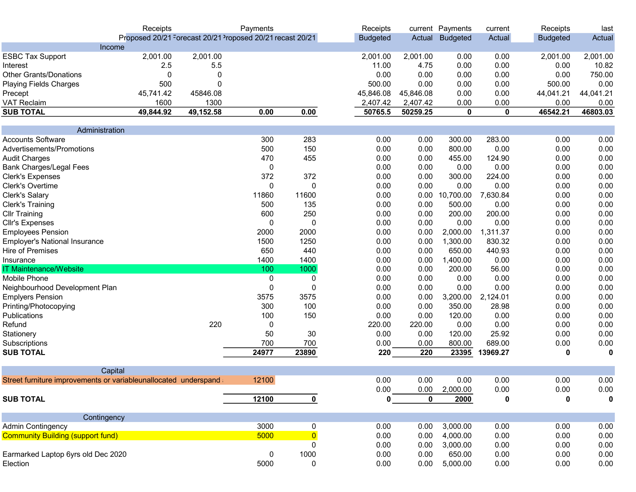|                                                                 | Receipts                                                                          |           | Payments |                | Receipts        |           | current Payments | current     | Receipts        | last      |
|-----------------------------------------------------------------|-----------------------------------------------------------------------------------|-----------|----------|----------------|-----------------|-----------|------------------|-------------|-----------------|-----------|
|                                                                 | Proposed 20/21 <sup>-</sup> orecast 20/21 <sup>2</sup> roposed 20/21 recast 20/21 |           |          |                | <b>Budgeted</b> | Actual    | <b>Budgeted</b>  | Actual      | <b>Budgeted</b> | Actual    |
| Income                                                          |                                                                                   |           |          |                |                 |           |                  |             |                 |           |
| <b>ESBC Tax Support</b>                                         | 2,001.00                                                                          | 2,001.00  |          |                | 2,001.00        | 2,001.00  | 0.00             | 0.00        | 2,001.00        | 2,001.00  |
| Interest                                                        | 2.5                                                                               | 5.5       |          |                | 11.00           | 4.75      | 0.00             | 0.00        | 0.00            | 10.82     |
| <b>Other Grants/Donations</b>                                   | 0                                                                                 | 0         |          |                | 0.00            | 0.00      | 0.00             | 0.00        | 0.00            | 750.00    |
| <b>Playing Fields Charges</b>                                   | 500                                                                               | 0         |          |                | 500.00          | 0.00      | 0.00             | 0.00        | 500.00          | 0.00      |
| Precept                                                         | 45,741.42                                                                         | 45846.08  |          |                | 45,846.08       | 45,846.08 | 0.00             | 0.00        | 44,041.21       | 44,041.21 |
| <b>VAT Reclaim</b>                                              | 1600                                                                              | 1300      |          |                | 2,407.42        | 2,407.42  | 0.00             | 0.00        | 0.00            | 0.00      |
| <b>SUB TOTAL</b>                                                | 49,844.92                                                                         | 49,152.58 | 0.00     | 0.00           | 50765.5         | 50259.25  | $\mathbf 0$      | $\mathbf 0$ | 46542.21        | 46803.03  |
| Administration                                                  |                                                                                   |           |          |                |                 |           |                  |             |                 |           |
| <b>Accounts Software</b>                                        |                                                                                   |           | 300      | 283            | 0.00            | 0.00      | 300.00           | 283.00      | 0.00            | 0.00      |
| Advertisements/Promotions                                       |                                                                                   |           | 500      | 150            | 0.00            | 0.00      | 800.00           | 0.00        | 0.00            | 0.00      |
| <b>Audit Charges</b>                                            |                                                                                   |           | 470      | 455            | 0.00            | 0.00      | 455.00           | 124.90      | 0.00            | 0.00      |
| <b>Bank Charges/Legal Fees</b>                                  |                                                                                   |           | 0        |                | 0.00            | 0.00      | 0.00             | 0.00        | 0.00            | 0.00      |
| <b>Clerk's Expenses</b>                                         |                                                                                   |           | 372      | 372            | 0.00            | 0.00      | 300.00           | 224.00      | 0.00            | 0.00      |
| <b>Clerk's Overtime</b>                                         |                                                                                   |           | 0        | 0              | 0.00            | 0.00      | 0.00             | 0.00        | 0.00            | 0.00      |
| Clerk's Salary                                                  |                                                                                   |           | 11860    | 11600          | 0.00            | 0.00      | 10,700.00        | 7,630.84    | 0.00            | 0.00      |
| <b>Clerk's Training</b>                                         |                                                                                   |           | 500      | 135            | 0.00            | 0.00      | 500.00           | 0.00        | 0.00            | 0.00      |
| <b>Cllr Training</b>                                            |                                                                                   |           | 600      | 250            | 0.00            | 0.00      | 200.00           | 200.00      | 0.00            | 0.00      |
| <b>Cllr's Expenses</b>                                          |                                                                                   |           | 0        | 0              | 0.00            | 0.00      | 0.00             | 0.00        | 0.00            | 0.00      |
| <b>Employees Pension</b>                                        |                                                                                   |           | 2000     | 2000           | 0.00            | 0.00      | 2,000.00         | 1,311.37    | 0.00            | 0.00      |
| <b>Employer's National Insurance</b>                            |                                                                                   |           | 1500     | 1250           | 0.00            | 0.00      | 1,300.00         | 830.32      | 0.00            | 0.00      |
| <b>Hire of Premises</b>                                         |                                                                                   |           | 650      | 440            | 0.00            | 0.00      | 650.00           | 440.93      | 0.00            | 0.00      |
| Insurance                                                       |                                                                                   |           | 1400     | 1400           | 0.00            | 0.00      | 1,400.00         | 0.00        | 0.00            | 0.00      |
| <b>IT Maintenance/Website</b>                                   |                                                                                   |           | 100      | 1000           | 0.00            | 0.00      | 200.00           | 56.00       | 0.00            | 0.00      |
| Mobile Phone                                                    |                                                                                   |           | 0        | 0              | 0.00            | 0.00      | 0.00             | 0.00        | 0.00            | 0.00      |
| Neighbourhood Development Plan                                  |                                                                                   |           | 0        | 0              | 0.00            | 0.00      | 0.00             | 0.00        | 0.00            | 0.00      |
| <b>Emplyers Pension</b>                                         |                                                                                   |           | 3575     | 3575           | 0.00            | 0.00      | 3,200.00         | 2,124.01    | 0.00            | 0.00      |
| Printing/Photocopying                                           |                                                                                   |           | 300      | 100            | 0.00            | 0.00      | 350.00           | 28.98       | 0.00            | 0.00      |
| Publications                                                    |                                                                                   |           | 100      | 150            | 0.00            | 0.00      | 120.00           | 0.00        | 0.00            | 0.00      |
| Refund                                                          |                                                                                   | 220       | 0        |                | 220.00          | 220.00    | 0.00             | 0.00        | 0.00            | 0.00      |
| Stationery                                                      |                                                                                   |           | 50       | 30             | 0.00            | 0.00      | 120.00           | 25.92       | 0.00            | 0.00      |
| Subscriptions                                                   |                                                                                   |           | 700      | 700            | 0.00            | 0.00      | 800.00           | 689.00      | 0.00            | 0.00      |
| <b>SUB TOTAL</b>                                                |                                                                                   |           | 24977    | 23890          | 220             | 220       | 23395            | 13969.27    | 0               | 0         |
|                                                                 |                                                                                   |           |          |                |                 |           |                  |             |                 |           |
| Capital                                                         |                                                                                   |           |          |                |                 |           |                  |             |                 |           |
| Street furniture improvements or variableunallocated underspand |                                                                                   |           | 12100    |                | 0.00            | 0.00      | 0.00             | 0.00        | 0.00            | 0.00      |
|                                                                 |                                                                                   |           |          |                | 0.00            | 0.00      | 2,000.00         | 0.00        | 0.00            | 0.00      |
| <b>SUB TOTAL</b>                                                |                                                                                   |           | 12100    | $\mathbf 0$    | n               | 0         | 2000             | 0           | 0               | 0         |
| Contingency                                                     |                                                                                   |           |          |                |                 |           |                  |             |                 |           |
| <b>Admin Contingency</b>                                        |                                                                                   |           | 3000     | 0              | 0.00            | 0.00      | 3,000.00         | 0.00        | 0.00            | 0.00      |
| <b>Community Building (support fund)</b>                        |                                                                                   |           | 5000     | $\overline{0}$ | 0.00            | 0.00      | 4,000.00         | 0.00        | 0.00            | 0.00      |
|                                                                 |                                                                                   |           |          | 0              | 0.00            | 0.00      | 3,000.00         | 0.00        | 0.00            | 0.00      |
| Earmarked Laptop 6yrs old Dec 2020                              |                                                                                   |           | 0        | 1000           | 0.00            | 0.00      | 650.00           | 0.00        | 0.00            | 0.00      |
| Election                                                        |                                                                                   |           | 5000     | 0              | 0.00            | 0.00      | 5,000.00         | 0.00        | 0.00            | 0.00      |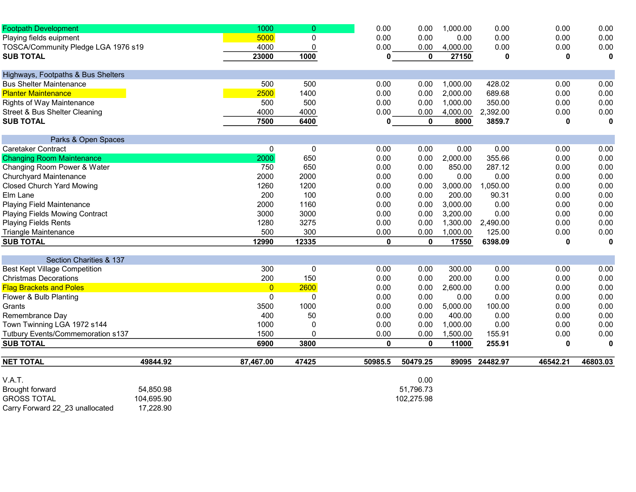| <b>Footpath Development</b>           |            | 1000           | $\overline{0}$ | 0.00    | 0.00             | 1,000.00 | 0.00           | 0.00     | 0.00        |
|---------------------------------------|------------|----------------|----------------|---------|------------------|----------|----------------|----------|-------------|
| Playing fields euipment               |            | 5000           | $\pmb{0}$      | 0.00    | 0.00             | 0.00     | 0.00           | 0.00     | 0.00        |
| TOSCA/Community Pledge LGA 1976 s19   |            | 4000           | 0              | 0.00    | 0.00             | 4,000.00 | 0.00           | 0.00     | 0.00        |
| <b>SUB TOTAL</b>                      |            | 23000          | 1000           | 0       | 0                | 27150    | 0              | 0        | $\mathbf 0$ |
| Highways, Footpaths & Bus Shelters    |            |                |                |         |                  |          |                |          |             |
| <b>Bus Shelter Maintenance</b>        |            | 500            | 500            | 0.00    | 0.00             | 1,000.00 | 428.02         | 0.00     | 0.00        |
| <b>Planter Maintenance</b>            |            | 2500           | 1400           | 0.00    | 0.00             | 2,000.00 | 689.68         | 0.00     | 0.00        |
| <b>Rights of Way Maintenance</b>      |            | 500            | 500            | 0.00    | 0.00             | 1,000.00 | 350.00         | 0.00     | 0.00        |
| Street & Bus Shelter Cleaning         |            | 4000           | 4000           | 0.00    | 0.00             | 4,000.00 | 2,392.00       | 0.00     | 0.00        |
| <b>SUB TOTAL</b>                      |            | 7500           | 6400           | 0       | 0                | 8000     | 3859.7         | 0        | 0           |
| Parks & Open Spaces                   |            |                |                |         |                  |          |                |          |             |
| Caretaker Contract                    |            | $\pmb{0}$      | $\mathbf 0$    | 0.00    | 0.00             | 0.00     | 0.00           | 0.00     | 0.00        |
| <b>Changing Room Maintenance</b>      |            | 2000           | 650            | 0.00    | 0.00             | 2,000.00 | 355.66         | 0.00     | 0.00        |
| Changing Room Power & Water           |            | 750            | 650            | 0.00    | 0.00             | 850.00   | 287.12         | 0.00     | 0.00        |
| Churchyard Maintenance                |            | 2000           | 2000           | 0.00    | 0.00             | 0.00     | 0.00           | 0.00     | 0.00        |
| <b>Closed Church Yard Mowing</b>      |            | 1260           | 1200           | 0.00    | 0.00             | 3,000.00 | 1,050.00       | 0.00     | 0.00        |
| Elm Lane                              |            | 200            | 100            | 0.00    | 0.00             | 200.00   | 90.31          | 0.00     | 0.00        |
| <b>Playing Field Maintenance</b>      |            | 2000           | 1160           | 0.00    | 0.00             | 3,000.00 | 0.00           | 0.00     | 0.00        |
| <b>Playing Fields Mowing Contract</b> |            | 3000           | 3000           | 0.00    | 0.00             | 3,200.00 | 0.00           | 0.00     | 0.00        |
| <b>Playing Fields Rents</b>           |            | 1280           | 3275           | 0.00    | 0.00             | 1,300.00 | 2,490.00       | 0.00     | 0.00        |
| <b>Triangle Maintenance</b>           |            | 500            | 300            | 0.00    | 0.00             | 1,000.00 | 125.00         | 0.00     | 0.00        |
| <b>SUB TOTAL</b>                      |            | 12990          | 12335          |         | 0<br>$\mathbf 0$ | 17550    | 6398.09        | 0        | $\mathbf 0$ |
| Section Charities & 137               |            |                |                |         |                  |          |                |          |             |
| <b>Best Kept Village Competition</b>  |            | 300            | 0              | 0.00    | 0.00             | 300.00   | 0.00           | 0.00     | 0.00        |
| <b>Christmas Decorations</b>          |            | 200            | 150            | 0.00    | 0.00             | 200.00   | 0.00           | 0.00     | 0.00        |
| <b>Flag Brackets and Poles</b>        |            | $\overline{0}$ | 2600           | 0.00    | 0.00             | 2,600.00 | 0.00           | 0.00     | 0.00        |
| Flower & Bulb Planting                |            | $\mathbf{0}$   | 0              | 0.00    | 0.00             | 0.00     | 0.00           | 0.00     | 0.00        |
| Grants                                |            | 3500           | 1000           | 0.00    | 0.00             | 5,000.00 | 100.00         | 0.00     | 0.00        |
| Remembrance Day                       |            | 400            | 50             | 0.00    | 0.00             | 400.00   | 0.00           | 0.00     | 0.00        |
| Town Twinning LGA 1972 s144           |            | 1000           | 0              | 0.00    | 0.00             | 1,000.00 | 0.00           | 0.00     | 0.00        |
| Tutbury Events/Commemoration s137     |            | 1500           | $\Omega$       | 0.00    | 0.00             | 1,500.00 | 155.91         | 0.00     | 0.00        |
| <b>SUB TOTAL</b>                      |            | 6900           | 3800           |         | 0<br>$\mathbf 0$ | 11000    | 255.91         | 0        | 0           |
| <b>NET TOTAL</b>                      | 49844.92   | 87,467.00      | 47425          | 50985.5 | 50479.25         |          | 89095 24482.97 | 46542.21 | 46803.03    |
| V.A.T.                                |            |                |                |         | 0.00             |          |                |          |             |
| Brought forward                       | 54,850.98  |                |                |         | 51,796.73        |          |                |          |             |
| <b>GROSS TOTAL</b>                    | 104,695.90 |                |                |         | 102,275.98       |          |                |          |             |

Carry Forward 22\_23 unallocated 17,228.90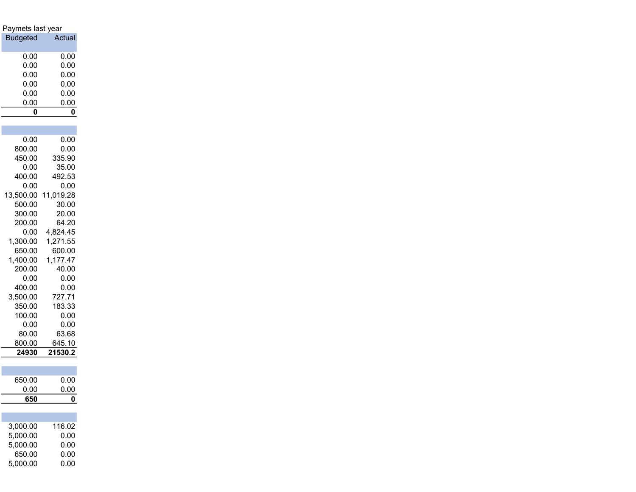| Paymets last year  |                    |
|--------------------|--------------------|
| <b>Budgeted</b>    | Actual             |
|                    |                    |
| 0.00               | 0.00               |
| 0.00               | 0.00               |
| 0.00               | 0.00               |
| 0.00               | 0.00               |
| 0.00               | 0.00<br>0.00       |
| 0.00<br>0          | 0                  |
|                    |                    |
|                    |                    |
| 0.00               | 0.00               |
| 800.00             | 0.00               |
| 450.00             | 335.90             |
| 0.00               | 35.00              |
| 400.00             | 492.53             |
| 0.00               | 0.00               |
| 13,500.00          | 11,019.28          |
| 500.00             | 30.00              |
| 300.00             | 20.00              |
| 200.00             | 64.20              |
| 0.00               | 4,824.45           |
| 1,300.00           | 1,271.55           |
| 650.00<br>1,400.00 | 600.00<br>1,177.47 |
| 200.00             | 40.00              |
| 0.00               | 0.00               |
| 400.00             | 0.00               |
| 3,500.00           | 727.71             |
| 350.00             | 183.33             |
| 100.00             | 0.00               |
| 0.00               | 0.00               |
| 80.00              | 63.68              |
| 800.00             | 645.10             |
| 24930              | 21530.2            |
|                    |                    |
| 650.00             | 0.00               |
| 0.00               | 0.00               |
| 650                | 0                  |
|                    |                    |
|                    |                    |
| 3,000.00           | 116.02             |
| 5,000.00           | 0.00               |
| 5,000.00           | 0.00               |
| 650.00             | 0.00               |
| 5,000.00           | 0.00               |